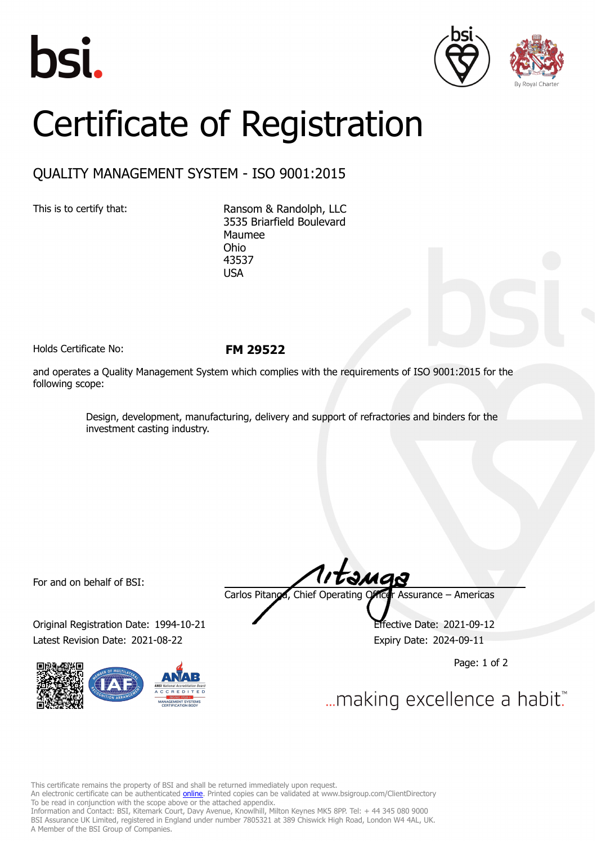





## Certificate of Registration

## QUALITY MANAGEMENT SYSTEM - ISO 9001:2015

This is to certify that: Ransom & Randolph, LLC 3535 Briarfield Boulevard Maumee Ohio 43537 USA

Holds Certificate No: **FM 29522**

and operates a Quality Management System which complies with the requirements of ISO 9001:2015 for the following scope:

> Design, development, manufacturing, delivery and support of refractories and binders for the investment casting industry.

For and on behalf of BSI:

Original Registration Date: 1994-10-21 Latest Revision Date: 2021-08-22 Expiry Date: 2024-09-11



Carlos Pitanga, Chief Operating Officer Assurance – Americas

Page: 1 of 2

... making excellence a habit."

This certificate remains the property of BSI and shall be returned immediately upon request.

An electronic certificate can be authenticated *[online](https://pgplus.bsigroup.com/CertificateValidation/CertificateValidator.aspx?CertificateNumber=FM+29522&ReIssueDate=22%2f08%2f2021&Template=inc)*. Printed copies can be validated at www.bsigroup.com/ClientDirectory To be read in conjunction with the scope above or the attached appendix.

Information and Contact: BSI, Kitemark Court, Davy Avenue, Knowlhill, Milton Keynes MK5 8PP. Tel: + 44 345 080 9000 BSI Assurance UK Limited, registered in England under number 7805321 at 389 Chiswick High Road, London W4 4AL, UK. A Member of the BSI Group of Companies.